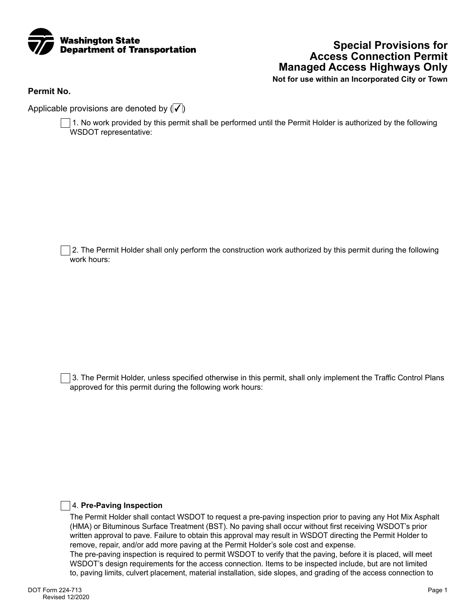

# **Special Provisions for Access Connection Permit Managed Access Highways Only**

**Not for use within an Incorporated City or Town**

**Permit No.**

Applicable provisions are denoted by  $(\sqrt{\sqrt{k}})$ 

 1. No work provided by this permit shall be performed until the Permit Holder is authorized by the following WSDOT representative:

 2. The Permit Holder shall only perform the construction work authorized by this permit during the following work hours:

 3. The Permit Holder, unless specified otherwise in this permit, shall only implement the Traffic Control Plans approved for this permit during the following work hours:

## 4. **Pre-Paving Inspection**

The Permit Holder shall contact WSDOT to request a pre-paving inspection prior to paving any Hot Mix Asphalt (HMA) or Bituminous Surface Treatment (BST). No paving shall occur without first receiving WSDOT's prior written approval to pave. Failure to obtain this approval may result in WSDOT directing the Permit Holder to remove, repair, and/or add more paving at the Permit Holder's sole cost and expense. The pre-paving inspection is required to permit WSDOT to verify that the paving, before it is placed, will meet WSDOT's design requirements for the access connection. Items to be inspected include, but are not limited to, paving limits, culvert placement, material installation, side slopes, and grading of the access connection to

DOT Form 224-713 Revised 12/2020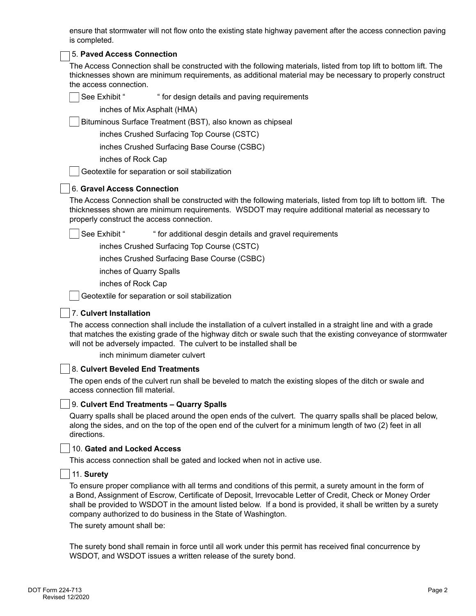ensure that stormwater will not flow onto the existing state highway pavement after the access connection paving is completed.

## 5. **Paved Access Connection**

The Access Connection shall be constructed with the following materials, listed from top lift to bottom lift. The thicknesses shown are minimum requirements, as additional material may be necessary to properly construct the access connection.

See Exhibit " " for design details and paving requirements

inches of Mix Asphalt (HMA)

Bituminous Surface Treatment (BST), also known as chipseal

inches Crushed Surfacing Top Course (CSTC)

inches Crushed Surfacing Base Course (CSBC)

inches of Rock Cap

Geotextile for separation or soil stabilization

## 6. **Gravel Access Connection**

The Access Connection shall be constructed with the following materials, listed from top lift to bottom lift. The thicknesses shown are minimum requirements. WSDOT may require additional material as necessary to properly construct the access connection.

See Exhibit " " for additional desgin details and gravel requirements

inches Crushed Surfacing Top Course (CSTC)

inches Crushed Surfacing Base Course (CSBC)

inches of Quarry Spalls

inches of Rock Cap

Geotextile for separation or soil stabilization

## 7. **Culvert Installation**

The access connection shall include the installation of a culvert installed in a straight line and with a grade that matches the existing grade of the highway ditch or swale such that the existing conveyance of stormwater will not be adversely impacted. The culvert to be installed shall be

inch minimum diameter culvert

## 8. **Culvert Beveled End Treatments**

The open ends of the culvert run shall be beveled to match the existing slopes of the ditch or swale and access connection fill material.

## 9. **Culvert End Treatments – Quarry Spalls**

Quarry spalls shall be placed around the open ends of the culvert. The quarry spalls shall be placed below, along the sides, and on the top of the open end of the culvert for a minimum length of two (2) feet in all directions.

#### 10. **Gated and Locked Access**

This access connection shall be gated and locked when not in active use.

## 11. **Surety**

To ensure proper compliance with all terms and conditions of this permit, a surety amount in the form of a Bond, Assignment of Escrow, Certificate of Deposit, Irrevocable Letter of Credit, Check or Money Order shall be provided to WSDOT in the amount listed below. If a bond is provided, it shall be written by a surety company authorized to do business in the State of Washington.

The surety amount shall be:

The surety bond shall remain in force until all work under this permit has received final concurrence by WSDOT, and WSDOT issues a written release of the surety bond.